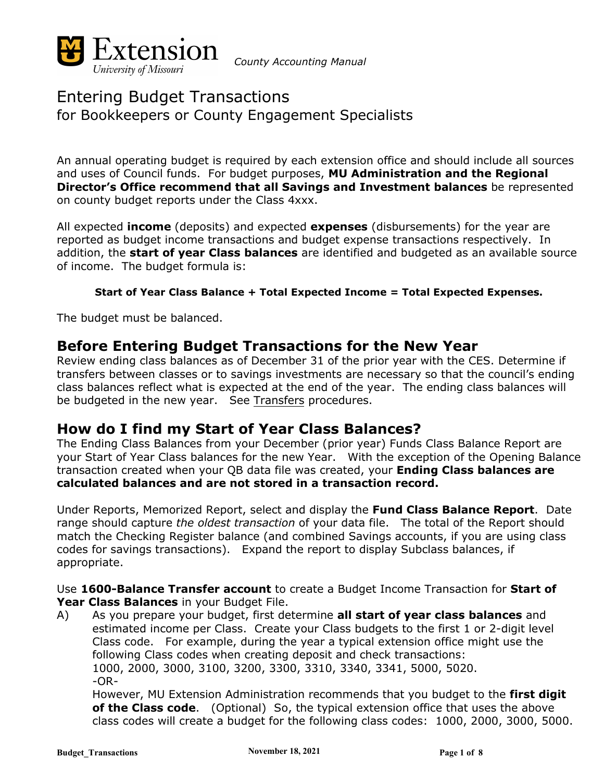

*County Accounting Manual*

# Entering Budget Transactions for Bookkeepers or County Engagement Specialists

An annual operating budget is required by each extension office and should include all sources and uses of Council funds. For budget purposes, **MU Administration and the Regional Director's Office recommend that all Savings and Investment balances** be represented on county budget reports under the Class 4xxx.

All expected **income** (deposits) and expected **expenses** (disbursements) for the year are reported as budget income transactions and budget expense transactions respectively. In addition, the **start of year Class balances** are identified and budgeted as an available source of income. The budget formula is:

#### **Start of Year Class Balance + Total Expected Income = Total Expected Expenses.**

The budget must be balanced.

### **Before Entering Budget Transactions for the New Year**

Review ending class balances as of December 31 of the prior year with the CES. Determine if transfers between classes or to savings investments are necessary so that the council's ending class balances reflect what is expected at the end of the year. The ending class balances will be budgeted in the new year. See Transfers procedures.

### **How do I find my Start of Year Class Balances?**

The Ending Class Balances from your December (prior year) Funds Class Balance Report are your Start of Year Class balances for the new Year. With the exception of the Opening Balance transaction created when your QB data file was created, your **Ending Class balances are calculated balances and are not stored in a transaction record.**

Under Reports, Memorized Report, select and display the **Fund Class Balance Report**. Date range should capture *the oldest transaction* of your data file. The total of the Report should match the Checking Register balance (and combined Savings accounts, if you are using class codes for savings transactions). Expand the report to display Subclass balances, if appropriate.

Use **1600-Balance Transfer account** to create a Budget Income Transaction for **Start of Year Class Balances** in your Budget File.

A) As you prepare your budget, first determine **all start of year class balances** and estimated income per Class. Create your Class budgets to the first 1 or 2-digit level Class code. For example, during the year a typical extension office might use the following Class codes when creating deposit and check transactions: 1000, 2000, 3000, 3100, 3200, 3300, 3310, 3340, 3341, 5000, 5020.  $-OR-$ 

However, MU Extension Administration recommends that you budget to the **first digit of the Class code**. (Optional) So, the typical extension office that uses the above class codes will create a budget for the following class codes: 1000, 2000, 3000, 5000.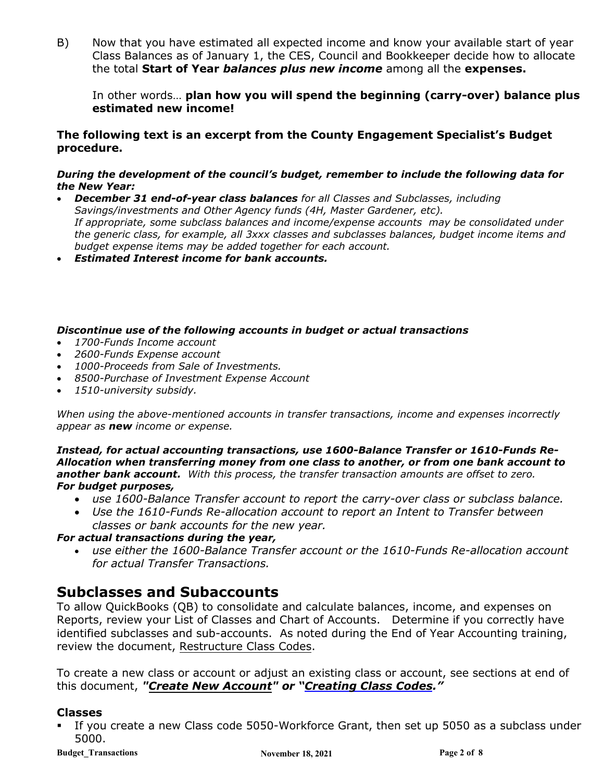B) Now that you have estimated all expected income and know your available start of year Class Balances as of January 1, the CES, Council and Bookkeeper decide how to allocate the total **Start of Year** *balances plus new income* among all the **expenses.**

In other words… **plan how you will spend the beginning (carry-over) balance plus estimated new income!**

#### **The following text is an excerpt from the County Engagement Specialist's Budget procedure.**

#### *During the development of the council's budget, remember to include the following data for the New Year:*

- *December 31 end-of-year class balances for all Classes and Subclasses, including Savings/investments and Other Agency funds (4H, Master Gardener, etc). If appropriate, some subclass balances and income/expense accounts may be consolidated under the generic class, for example, all 3xxx classes and subclasses balances, budget income items and budget expense items may be added together for each account.*
- *Estimated Interest income for bank accounts.*

#### *Discontinue use of the following accounts in budget or actual transactions*

- *1700-Funds Income account*
- *2600-Funds Expense account*
- *1000-Proceeds from Sale of Investments.*
- *8500-Purchase of Investment Expense Account*
- *1510-university subsidy.*

*When using the above-mentioned accounts in transfer transactions, income and expenses incorrectly appear as new income or expense.*

*Instead, for actual accounting transactions, use 1600-Balance Transfer or 1610-Funds Re-Allocation when transferring money from one class to another, or from one bank account to another bank account. With this process, the transfer transaction amounts are offset to zero. For budget purposes,* 

- *use 1600-Balance Transfer account to report the carry-over class or subclass balance.*
- *Use the 1610-Funds Re-allocation account to report an Intent to Transfer between classes or bank accounts for the new year.*

#### *For actual transactions during the year,*

• *use either the 1600-Balance Transfer account or the 1610-Funds Re-allocation account for actual Transfer Transactions.*

### **Subclasses and Subaccounts**

To allow QuickBooks (QB) to consolidate and calculate balances, income, and expenses on Reports, review your List of Classes and Chart of Accounts. Determine if you correctly have identified subclasses and sub-accounts. As noted during the End of Year Accounting training, review the document, Restructure Class Codes.

To create a new class or account or adjust an existing class or account, see sections at end of this document, *"Create New Account" or "Creating Class Codes."* 

### **Classes**

 If you create a new Class code 5050-Workforce Grant, then set up 5050 as a subclass under 5000.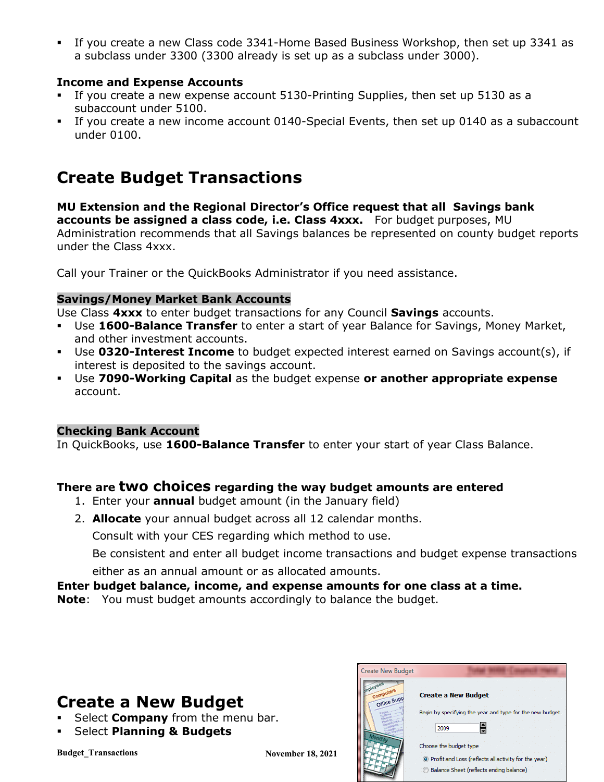If you create a new Class code 3341-Home Based Business Workshop, then set up 3341 as a subclass under 3300 (3300 already is set up as a subclass under 3000).

### **Income and Expense Accounts**

- If you create a new expense account 5130-Printing Supplies, then set up 5130 as a subaccount under 5100.
- If you create a new income account 0140-Special Events, then set up 0140 as a subaccount under 0100.

# **Create Budget Transactions**

**MU Extension and the Regional Director's Office request that all Savings bank accounts be assigned a class code, i.e. Class 4xxx.** For budget purposes, MU Administration recommends that all Savings balances be represented on county budget reports under the Class 4xxx.

Call your Trainer or the QuickBooks Administrator if you need assistance.

### **Savings/Money Market Bank Accounts**

Use Class **4xxx** to enter budget transactions for any Council **Savings** accounts.

- Use **1600-Balance Transfer** to enter a start of year Balance for Savings, Money Market, and other investment accounts.
- Use **0320-Interest Income** to budget expected interest earned on Savings account(s), if interest is deposited to the savings account.
- Use **7090-Working Capital** as the budget expense **or another appropriate expense** account.

### **Checking Bank Account**

In QuickBooks, use **1600-Balance Transfer** to enter your start of year Class Balance.

### **There are two choices regarding the way budget amounts are entered**

- 1. Enter your **annual** budget amount (in the January field)
- 2. **Allocate** your annual budget across all 12 calendar months.

Consult with your CES regarding which method to use.

Be consistent and enter all budget income transactions and budget expense transactions either as an annual amount or as allocated amounts.

### **Enter budget balance, income, and expense amounts for one class at a time.**

**Note**: You must budget amounts accordingly to balance the budget.

# **Create a New Budget**

- **Select Company** from the menu bar.
- **Select Planning & Budgets**

| reate New Budget     |                                                           |
|----------------------|-----------------------------------------------------------|
| Compu<br>Office Supp | <b>Create a New Budget</b>                                |
|                      | Begin by specifying the year and type for the new budget. |
|                      | 릠<br>2009                                                 |
|                      | Choose the budget type                                    |
|                      | O Profit and Loss (reflects all activity for the year)    |
|                      | Balance Sheet (reflects ending balance)                   |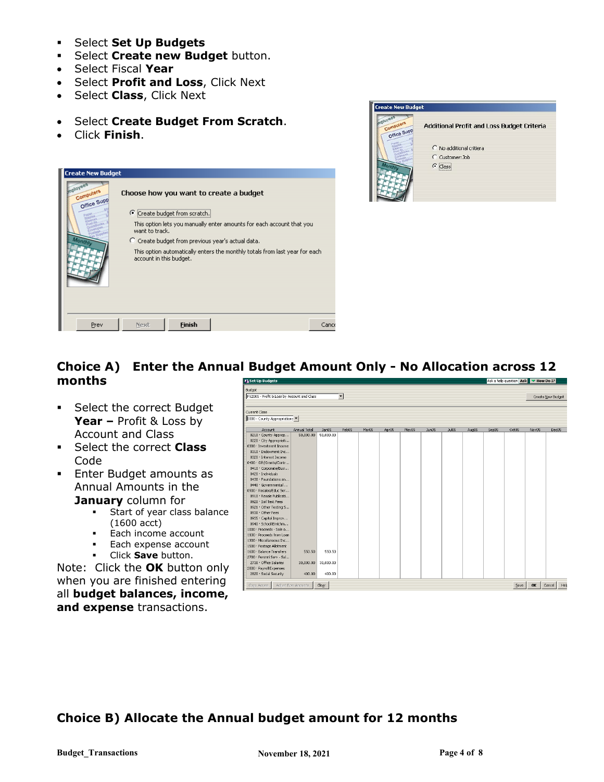- Select **Set Up Budgets**
- **F** Select **Create new Budget** button.
- Select Fiscal **Year**
- Select **Profit and Loss**, Click Next
- Select **Class**, Click Next
- Select **Create Budget From Scratch**.
- Click **Finish**.





### **Choice A) Enter the Annual Budget Amount Only - No Allocation across 12 months**

- **Select the correct Budget Year –** Profit & Loss by Account and Class
- **Select the correct Class** Code
- **Enter Budget amounts as** Annual Amounts in the **January** column for
	- Start of year class balance (1600 acct)
	- **Each income account**
	- Each expense account
	- Click **Save** button.

Note: Click the **OK** button only when you are finished entering all **budget balances, income, and expense** transactions.

| <b>Fi</b> Set Up Budgets                          |                    |           |                      |       |                   |       |       |       |       |       | Ask a help question Ask V How Do I? |          |                   |
|---------------------------------------------------|--------------------|-----------|----------------------|-------|-------------------|-------|-------|-------|-------|-------|-------------------------------------|----------|-------------------|
| Budget                                            |                    |           |                      |       |                   |       |       |       |       |       |                                     |          |                   |
| FY2005 - Profit & Loss by Account and Class       |                    |           | $\blacktriangledown$ |       |                   |       |       |       |       |       |                                     |          | Create New Budget |
|                                                   |                    |           |                      |       |                   |       |       |       |       |       |                                     |          |                   |
| Current Class                                     |                    |           |                      |       |                   |       |       |       |       |       |                                     |          |                   |
| 1000 - County Appropriations                      |                    |           |                      |       |                   |       |       |       |       |       |                                     |          |                   |
|                                                   |                    |           |                      |       |                   |       |       |       |       |       |                                     |          |                   |
| Account                                           | Annual Total       | Jan05     | Feb05                | Mar05 | Apr <sub>05</sub> | May05 | Jun05 | Jul05 | Aug05 | Sep05 | Oct05                               | Nov05    | Dec05             |
| 0210 · County Approp                              | 50,000.00          | 50,000.00 |                      |       |                   |       |       |       |       |       |                                     |          |                   |
| 0220 · City Appropriati                           |                    |           |                      |       |                   |       |       |       |       |       |                                     |          |                   |
| 0300 · Investment Income                          |                    |           |                      |       |                   |       |       |       |       |       |                                     |          |                   |
| 0310 · Endowment Inc                              |                    |           |                      |       |                   |       |       |       |       |       |                                     |          |                   |
| 0320 · Interest Income                            |                    |           |                      |       |                   |       |       |       |       |       |                                     |          |                   |
| 0400 · Gift/Grants/Contr<br>0410 · Corporate/Busi |                    |           |                      |       |                   |       |       |       |       |       |                                     |          |                   |
| 0420 · Individuals                                |                    |           |                      |       |                   |       |       |       |       |       |                                     |          |                   |
| 0430 · Foundations an                             |                    |           |                      |       |                   |       |       |       |       |       |                                     |          |                   |
| 0440 · Governmental                               |                    |           |                      |       |                   |       |       |       |       |       |                                     |          |                   |
| 0900 · Resales/Educ Ser                           |                    |           |                      |       |                   |       |       |       |       |       |                                     |          |                   |
| 0910 · Resale Publicati                           |                    |           |                      |       |                   |       |       |       |       |       |                                     |          |                   |
| 0920 · Soil Test Fees                             |                    |           |                      |       |                   |       |       |       |       |       |                                     |          |                   |
| 0921 · Other Testing S                            |                    |           |                      |       |                   |       |       |       |       |       |                                     |          |                   |
| 0930 · Other Fees                                 |                    |           |                      |       |                   |       |       |       |       |       |                                     |          |                   |
| 0935 . Capitol Improv                             |                    |           |                      |       |                   |       |       |       |       |       |                                     |          |                   |
| 0940 · School Enrichm                             |                    |           |                      |       |                   |       |       |       |       |       |                                     |          |                   |
| 1000 · Proceeds - Sale o                          |                    |           |                      |       |                   |       |       |       |       |       |                                     |          |                   |
| 1100 · Proceeds from Loan                         |                    |           |                      |       |                   |       |       |       |       |       |                                     |          |                   |
| 1300 · Miscellaneous Inc                          |                    |           |                      |       |                   |       |       |       |       |       |                                     |          |                   |
| 1500 · Postage Allotment                          |                    |           |                      |       |                   |       |       |       |       |       |                                     |          |                   |
| 1600 · Balance Transfers                          | 550.50             | 550.50    |                      |       |                   |       |       |       |       |       |                                     |          |                   |
| 2700 · Persnnl Serv - Sal                         |                    |           |                      |       |                   |       |       |       |       |       |                                     |          |                   |
| 2730 · Office Salaries                            | 30,000.00          | 30,000.00 |                      |       |                   |       |       |       |       |       |                                     |          |                   |
| 2800 · Payroll Expenses                           |                    |           |                      |       |                   |       |       |       |       |       |                                     |          |                   |
| 2820 · Social Security                            | 400.00             | 400.00    |                      |       |                   |       |       |       |       |       |                                     |          |                   |
|                                                   |                    |           |                      |       |                   |       |       |       |       |       |                                     | $\alpha$ |                   |
| Copy Across                                       | Adjust Row Amounts | Clear     |                      |       |                   |       |       |       |       |       | $S$ ave                             |          | Cancel            |

### **Choice B) Allocate the Annual budget amount for 12 months**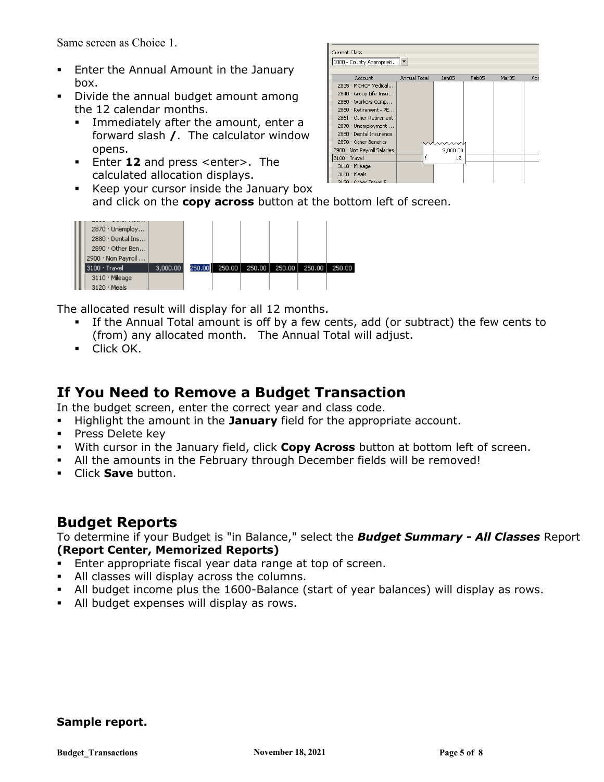Same screen as Choice 1.

- **Enter the Annual Amount in the January** box.
- Divide the annual budget amount among the 12 calendar months.
	- Immediately after the amount, enter a forward slash **/**. The calculator window opens.
	- Enter **12** and press <enter>. The calculated allocation displays.
	- 3130 · Other Tray Keep your cursor inside the January box and click on the **copy across** button at the bottom left of screen.



The allocated result will display for all 12 months.

 If the Annual Total amount is off by a few cents, add (or subtract) the few cents to (from) any allocated month. The Annual Total will adjust.

Current Class

3100 · Travel

3110 Mileage  $3120 \cdot$  Meals

1000 - County Appropriati...

Account 2835 · MCHCP Medical... 2840 · Group Life Insu... 2850 · Workers Comp... 2860 · Retirement - PE.. 2861 · Other Retirement 2870 · Unemployment ... 2880 · Dental Insurance 2890 · Other Benefits 2900 · Non Payroll Salaries

Annual Total Jan05 Feb05

3,000.00

12

 $Mar05$ 

**Click OK.** 

### **If You Need to Remove a Budget Transaction**

In the budget screen, enter the correct year and class code.

- Highlight the amount in the **January** field for the appropriate account.
- **Press Delete key**
- With cursor in the January field, click **Copy Across** button at bottom left of screen.
- All the amounts in the February through December fields will be removed!
- Click **Save** button.

### **Budget Reports**

To determine if your Budget is "in Balance," select the *Budget Summary - All Classes* Report **(Report Center, Memorized Reports)**

- Enter appropriate fiscal year data range at top of screen.
- All classes will display across the columns.
- All budget income plus the 1600-Balance (start of year balances) will display as rows.
- All budget expenses will display as rows.

#### **Sample report.**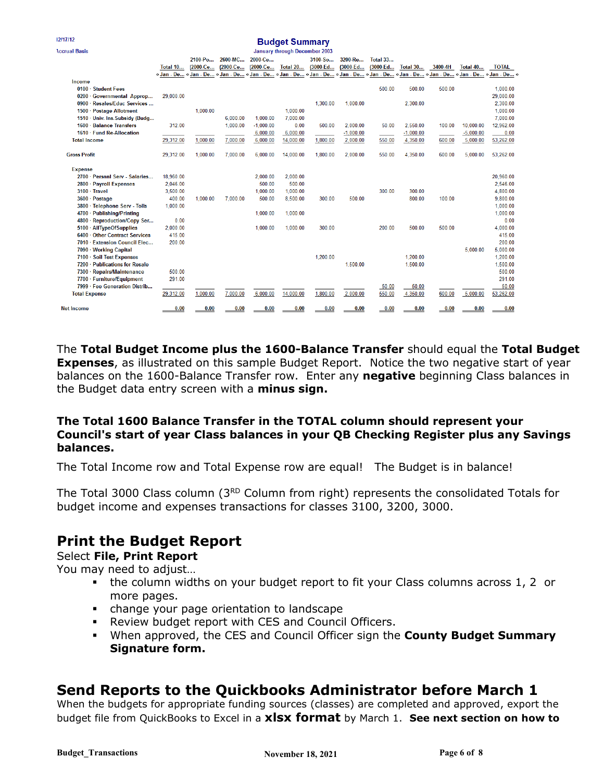|                                 |                                                                                                                         |          |          |                      | maador mannium k                     |          |             |                  |                 |                                |                 |              |
|---------------------------------|-------------------------------------------------------------------------------------------------------------------------|----------|----------|----------------------|--------------------------------------|----------|-------------|------------------|-----------------|--------------------------------|-----------------|--------------|
| <b>Accrual Basis</b>            |                                                                                                                         |          |          |                      | <b>January through December 2003</b> |          |             |                  |                 |                                |                 |              |
|                                 |                                                                                                                         | 2100-Po  | 2600-MC  | 2000 <sub>-Ce.</sub> |                                      | 3100-So  | 3200-Re     | <b>Total 33</b>  |                 |                                |                 |              |
|                                 | <b>Total 10</b>                                                                                                         | (2000-Ce | (2000-Ce | (2000-Ce             | Total 20                             | (3000-Ed | (3000-Ed    | (3000-Ed         | <b>Total 30</b> | 3400-4H                        | <b>Total 40</b> | <b>TOTAL</b> |
|                                 | «Jan - De «Jan - De «Jan - De «Jan - De «Jan - De «Jan - De «Jan - De «Jan - De «Jan - De »Jan - De «Jan - De «Jan - De |          |          |                      |                                      |          |             |                  |                 |                                |                 |              |
| Income                          |                                                                                                                         |          |          |                      |                                      |          |             |                  |                 |                                |                 |              |
| 0100 · Student Fees             |                                                                                                                         |          |          |                      |                                      |          |             | 500.00           | 500.00          | 500.00                         |                 | 1,000.00     |
| 0200 Governmental Approp        | 29.000.00                                                                                                               |          |          |                      |                                      |          |             |                  |                 |                                |                 | 29,000.00    |
| 0900 · Resales/Educ Services    |                                                                                                                         |          |          |                      |                                      | 1.300.00 | 1.000.00    |                  | 2.300.00        |                                |                 | 2.300.00     |
| 1500 · Postage Allotment        |                                                                                                                         | 1.000.00 |          |                      | 1.000.00                             |          |             |                  |                 |                                |                 | 1,000.00     |
| 1510 · Univ. Ins. Subsidy (Budg |                                                                                                                         |          | 6,000.00 | 1,000.00             | 7,000.00                             |          |             |                  |                 |                                |                 | 7,000.00     |
| 1600 · Balance Transfers        | 312.00                                                                                                                  |          | 1,000.00 | $-1.000.00$          | 0.00                                 | 500.00   | 2,000.00    | 50.00            | 2.550.00        | 100.00                         | 10.000.00       | 12,962.00    |
| 1610 · Fund Re-Allocation       |                                                                                                                         |          |          | 6,000.00             | 6,000.00                             |          | $-1,000.00$ |                  | $-1,000.00$     |                                | $-5,000.00$     | 0.00         |
| <b>Total Income</b>             | 29,312.00                                                                                                               | 1.000.00 | 7.000.00 | 6.000.00             | 14,000.00                            | 1,800.00 | 2,000.00    | 550.00           | 4,350.00        | 600.00                         | 5,000.00        | 53,262.00    |
| <b>Gross Profit</b>             | 29.312.00                                                                                                               | 1.000.00 | 7.000.00 | 6.000.00             | 14.000.00                            | 1.800.00 | 2.000.00    | 550.00           | 4.350.00        | 600.00                         | 5.000.00        | 53,262.00    |
| <b>Expense</b>                  |                                                                                                                         |          |          |                      |                                      |          |             |                  |                 |                                |                 |              |
| 2700 · Persnnl Serv - Salaries  | 18,960.00                                                                                                               |          |          | 2,000.00             | 2,000.00                             |          |             |                  |                 |                                |                 | 20,960.00    |
| 2800 · Payroll Expenses         | 2.046.00                                                                                                                |          |          | 500.00               | 500.00                               |          |             |                  |                 |                                |                 | 2,546.00     |
| $3100 \cdot$ Travel             | 3,500.00                                                                                                                |          |          | 1.000.00             | 1.000.00                             |          |             | 300.00           | 300.00          |                                |                 | 4.800.00     |
| 3600 · Postage                  | 400.00                                                                                                                  | 1,000.00 | 7,000.00 | 500.00               | 8,500.00                             | 300.00   | 500.00      |                  | 800.00          | 100.00                         |                 | 9,800.00     |
| 3800 · Telephone Serv - Tolls   | 1,000.00                                                                                                                |          |          |                      |                                      |          |             |                  |                 |                                |                 | 1,000.00     |
| 4700 · Publishing/Printing      |                                                                                                                         |          |          | 1.000.00             | 1.000.00                             |          |             |                  |                 |                                |                 | 1.000.00     |
| 4800 · Reproduction/Copy Ser    | 0.00                                                                                                                    |          |          |                      |                                      |          |             |                  |                 |                                |                 | 0.00         |
| 5100 · AllTypeOfSupplies        | 2,000.00                                                                                                                |          |          | 1,000.00             | 1,000.00                             | 300.00   |             | 200.00           | 500.00          | 500.00                         |                 | 4,000.00     |
| 6400 · Other Contract Services  | 415.00                                                                                                                  |          |          |                      |                                      |          |             |                  |                 |                                |                 | 415.00       |
| 7010 · Extension Council Elec   | 200.00                                                                                                                  |          |          |                      |                                      |          |             |                  |                 |                                |                 | 200.00       |
| 7090 · Working Capital          |                                                                                                                         |          |          |                      |                                      |          |             |                  |                 |                                | 5,000.00        | 5,000.00     |
| 7100 · Soil Test Expenses       |                                                                                                                         |          |          |                      |                                      | 1,200.00 |             |                  | 1.200.00        |                                |                 | 1,200.00     |
| 7200 · Publications for Resale  |                                                                                                                         |          |          |                      |                                      |          | 1,500.00    |                  | 1.500.00        |                                |                 | 1,500.00     |
| 7300 · Repairs/Maintenance      | 500.00                                                                                                                  |          |          |                      |                                      |          |             |                  |                 |                                |                 | 500.00       |
| 7700 · Furniture/Equipment      | 291.00                                                                                                                  |          |          |                      |                                      |          |             |                  |                 |                                |                 | 291.00       |
| 7999 · Fee Generation Distrib   |                                                                                                                         |          |          |                      |                                      |          |             | 50.00            | 50.00           |                                |                 | 50.00        |
| <b>Total Expense</b>            | 29,312.00                                                                                                               | 1,000.00 | 7,000.00 | 6,000.00             | 14,000.00                            | 1,800.00 | 2,000.00    | 550.00           | 4,350.00        | 600.00                         | 5,000.00        | 53,262.00    |
| <b>Net Income</b>               | 0.00                                                                                                                    | 0.00     | 0.00     | 0.00                 | 0.00                                 | 0.00     | 0.00        | $\frac{0.00}{2}$ | 0.00            | $\underline{\hspace{1cm}0.00}$ | 0.00            | 0.00         |

**Budget Summany** 

The **Total Budget Income plus the 1600-Balance Transfer** should equal the **Total Budget Expenses**, as illustrated on this sample Budget Report. Notice the two negative start of year balances on the 1600-Balance Transfer row. Enter any **negative** beginning Class balances in the Budget data entry screen with a **minus sign.**

#### **The Total 1600 Balance Transfer in the TOTAL column should represent your Council's start of year Class balances in your QB Checking Register plus any Savings balances.**

The Total Income row and Total Expense row are equal! The Budget is in balance!

The Total 3000 Class column (3<sup>RD</sup> Column from right) represents the consolidated Totals for budget income and expenses transactions for classes 3100, 3200, 3000.

# **Print the Budget Report**

Select **File, Print Report**

12/17/12

You may need to adjust…

- the column widths on your budget report to fit your Class columns across 1, 2 or more pages.
- change your page orientation to landscape
- Review budget report with CES and Council Officers.
- When approved, the CES and Council Officer sign the **County Budget Summary Signature form.**

## **Send Reports to the Quickbooks Administrator before March 1**

When the budgets for appropriate funding sources (classes) are completed and approved, export the budget file from QuickBooks to Excel in a **xlsx format** by March 1. **See next section on how to**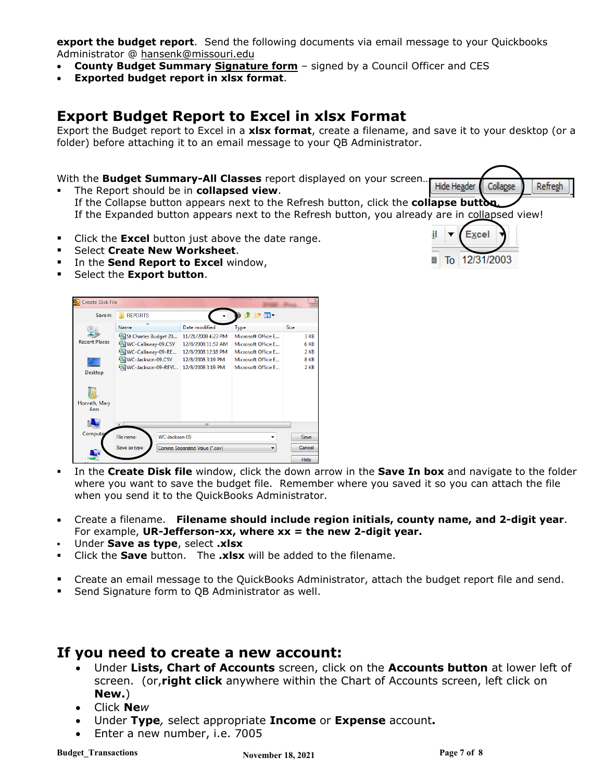**export the budget report**. Send the following documents via email message to your Quickbooks Administrator @ hansenk@missouri.edu

- **County Budget Summary Signature form** signed by a Council Officer and CES
- **Exported budget report in xlsx format**.

## **Export Budget Report to Excel in xlsx Format**

Export the Budget report to Excel in a **xlsx format**, create a filename, and save it to your desktop (or a folder) before attaching it to an email message to your QB Administrator.

#### With the **Budget Summary-All Classes** report displayed on your screen…

- Hide Header Refresh Collapse The Report should be in **collapsed view**. If the Collapse button appears next to the Refresh button, click the **collapse button**. If the Expanded button appears next to the Refresh button, you already are in collapsed view!
- **Click the Excel button just above the date range.**
- Select **Create New Worksheet**.
- **IF In the Send Report to Excel window,**
- **F** Select the **Export button**.



- In the **Create Disk file** window, click the down arrow in the **Save In box** and navigate to the folder where you want to save the budget file. Remember where you saved it so you can attach the file when you send it to the QuickBooks Administrator.
- Create a filename. **Filename should include region initials, county name, and 2-digit year**. For example, **UR-Jefferson-xx, where xx = the new 2-digit year.**
- Under **Save as type**, select **.xlsx**
- Click the **Save** button. The **.xlsx** will be added to the filename.
- Create an email message to the QuickBooks Administrator, attach the budget report file and send.
- **Send Signature form to QB Administrator as well.**

### **If you need to create a new account:**

- Under **Lists, Chart of Accounts** screen, click on the **Accounts button** at lower left of screen. (or,**right click** anywhere within the Chart of Accounts screen, left click on **New.**)
- Click **Ne***w*
- Under **Type***,* select appropriate **Income** or **Expense** account**.**
- Enter a new number, i.e. 7005